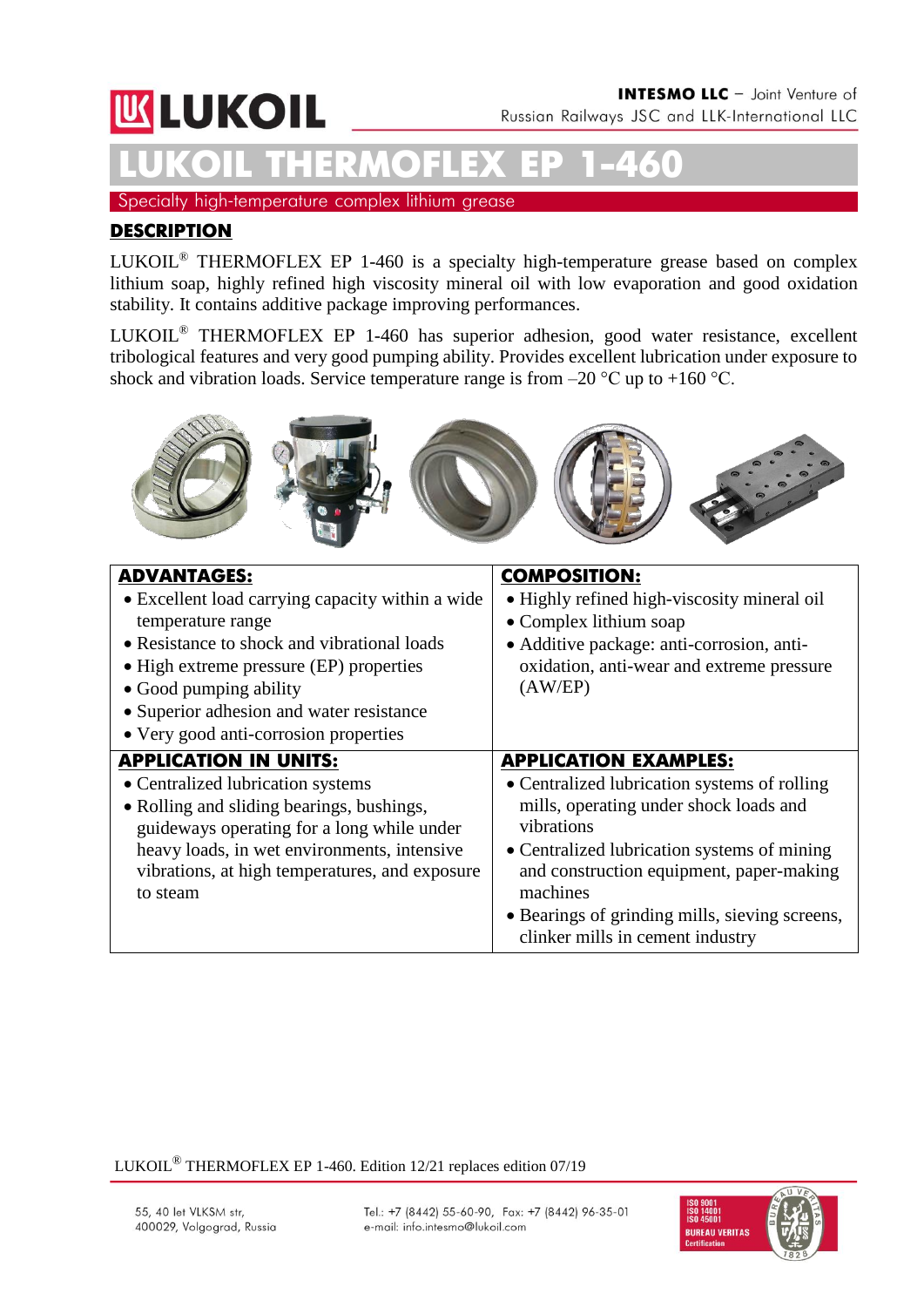# **KLUKOIL**

**LUKOIL THERMOFLEX ЕР 1-460** Specialty high-temperature complex lithium grease

#### **DESCRIPTION**

LUKOIL® THERMOFLEX ЕР 1-460 is a specialty high-temperature grease based on complex lithium soap, highly refined high viscosity mineral oil with low evaporation and good oxidation stability. It contains additive package improving performances.

LUKOIL® THERMOFLEX ЕР 1-460 has superior adhesion, good water resistance, excellent tribological features and very good pumping ability. Provides excellent lubrication under exposure to shock and vibration loads. Service temperature range is from  $-20$  °C up to  $+160$  °C.



| <b>ADVANTAGES:</b><br>• Excellent load carrying capacity within a wide<br>temperature range<br>• Resistance to shock and vibrational loads<br>• High extreme pressure (EP) properties<br>• Good pumping ability<br>• Superior adhesion and water resistance               | <b>COMPOSITION:</b><br>• Highly refined high-viscosity mineral oil<br>• Complex lithium soap<br>• Additive package: anti-corrosion, anti-<br>oxidation, anti-wear and extreme pressure<br>(AW/EP)                                                                                                                                 |
|---------------------------------------------------------------------------------------------------------------------------------------------------------------------------------------------------------------------------------------------------------------------------|-----------------------------------------------------------------------------------------------------------------------------------------------------------------------------------------------------------------------------------------------------------------------------------------------------------------------------------|
| • Very good anti-corrosion properties                                                                                                                                                                                                                                     |                                                                                                                                                                                                                                                                                                                                   |
| <b>APPLICATION IN UNITS:</b><br>• Centralized lubrication systems<br>• Rolling and sliding bearings, bushings,<br>guideways operating for a long while under<br>heavy loads, in wet environments, intensive<br>vibrations, at high temperatures, and exposure<br>to steam | <b>APPLICATION EXAMPLES:</b><br>• Centralized lubrication systems of rolling<br>mills, operating under shock loads and<br>vibrations<br>• Centralized lubrication systems of mining<br>and construction equipment, paper-making<br>machines<br>• Bearings of grinding mills, sieving screens,<br>clinker mills in cement industry |

LUKOIL® THERMOFLEX EP 1-460. Edition 12/21 replaces edition 07/19